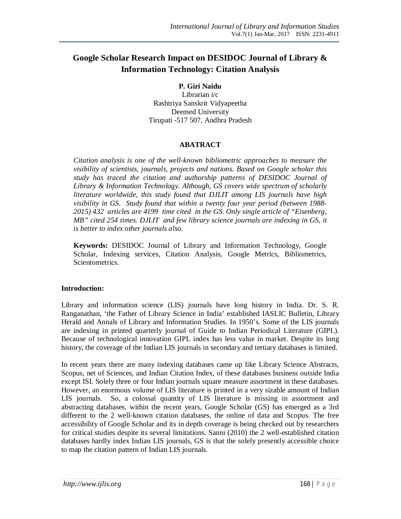# **Google Scholar Research Impact on DESIDOC Journal of Library & Information Technology: Citation Analysis**

# **P. Giri Naidu**

Librarian i/c Rashtriya Sanskrit Vidyapeetha Deemed University Tirupati -517 507, Andhra Pradesh

## **ABATRACT**

*Citation analysis is one of the well-known bibliometric approaches to measure the visibility of scientists, journals, projects and nations. Based on Google scholar this study has traced the citation and authorship patterns of DESIDOC Journal of Library & Information Technology. Although, GS covers wide spectrum of scholarly literature worldwide, this study found that DJLIT among LIS journals have high visibility in GS. Study found that within a twenty four year period (between 1988- 2015) 432 articles are 4199 time cited in the GS. Only single article of "Eisenberg, MB" cited 254 times. DJLIT and few library science journals are indexing in GS, it is better to index other journals also.*

**Keywords:** DESIDOC Journal of Library and Information Technology, Google Scholar, Indexing services, Citation Analysis, Google Metrics, Bibliometrics, Scientometrics.

# **Introduction:**

Library and information science (LIS) journals have long history in India. Dr. S. R. Ranganathan, 'the Father of Library Science in India' established IASLIC Bulletin, Library Herald and Annals of Library and Information Studies. In 1950's. Some of the LIS journals are indexing in printed quarterly journal of Guide to Indian Periodical Literature (GIPL). Because of technological innovation GIPL index has less value in market. Despite its long history, the coverage of the Indian LIS journals in secondary and tertiary databases is limited.

In recent years there are many indexing databases came up like Library Science Abstracts, Scopus, net of Sciences, and Indian Citation Index, of these databases business outside India except ISI. Solely three or four Indian journals square measure assortment in these databases. However, an enormous volume of LIS literature is printed in a very sizable amount of Indian LIS journals. So, a colossal quantity of LIS literature is missing in assortment and abstracting databases. within the recent years, Google Scholar (GS) has emerged as a 3rd different to the 2 well-known citation databases, the online of data and Scopus. The free accessibility of Google Scholar and its in depth coverage is being checked out by researchers for critical studies despite its several limitations. Sanni (2010) the 2 well-established citation databases hardly index Indian LIS journals, GS is that the solely presently accessible choice to map the citation pattern of Indian LIS journals.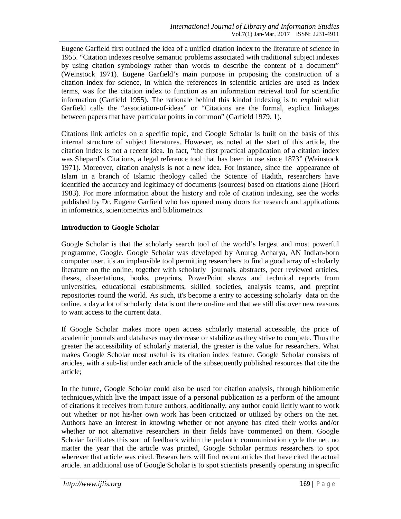Eugene Garfield first outlined the idea of a unified citation index to the literature of science in 1955. "Citation indexes resolve semantic problems associated with traditional subject indexes by using citation symbology rather than words to describe the content of a document" (Weinstock 1971). Eugene Garfield's main purpose in proposing the construction of a citation index for science, in which the references in scientific articles are used as index terms, was for the citation index to function as an information retrieval tool for scientific information (Garfield 1955). The rationale behind this kindof indexing is to exploit what Garfield calls the "association-of-ideas" or "Citations are the formal, explicit linkages between papers that have particular points in common" (Garfield 1979, 1).

Citations link articles on a specific topic, and Google Scholar is built on the basis of this internal structure of subject literatures. However, as noted at the start of this article, the citation index is not a recent idea. In fact, "the first practical application of a citation index was Shepard's Citations, a legal reference tool that has been in use since 1873" (Weinstock 1971). Moreover, citation analysis is not a new idea. For instance, since the appearance of Islam in a branch of Islamic theology called the Science of Hadith, researchers have identified the accuracy and legitimacy of documents (sources) based on citations alone (Horri 1983). For more information about the history and role of citation indexing, see the works published by Dr. Eugene Garfield who has opened many doors for research and applications in infometrics, scientometrics and bibliometrics.

## **Introduction to Google Scholar**

Google Scholar is that the scholarly search tool of the world's largest and most powerful programme, Google. Google Scholar was developed by Anurag Acharya, AN Indian-born computer user. it's an implausible tool permitting researchers to find a good array of scholarly literature on the online, together with scholarly journals, abstracts, peer reviewed articles, theses, dissertations, books, preprints, PowerPoint shows and technical reports from universities, educational establishments, skilled societies, analysis teams, and preprint repositories round the world. As such, it's become a entry to accessing scholarly data on the online. a day a lot of scholarly data is out there on-line and that we still discover new reasons to want access to the current data.

If Google Scholar makes more open access scholarly material accessible, the price of academic journals and databases may decrease or stabilize as they strive to compete. Thus the greater the accessibility of scholarly material, the greater is the value for researchers. What makes Google Scholar most useful is its citation index feature. Google Scholar consists of articles, with a sub-list under each article of the subsequently published resources that cite the article;

In the future, Google Scholar could also be used for citation analysis, through bibliometric techniques,which live the impact issue of a personal publication as a perform of the amount of citations it receives from future authors. additionally, any author could licitly want to work out whether or not his/her own work has been criticized or utilized by others on the net. Authors have an interest in knowing whether or not anyone has cited their works and/or whether or not alternative researchers in their fields have commented on them. Google Scholar facilitates this sort of feedback within the pedantic communication cycle the net. no matter the year that the article was printed, Google Scholar permits researchers to spot wherever that article was cited. Researchers will find recent articles that have cited the actual article. an additional use of Google Scholar is to spot scientists presently operating in specific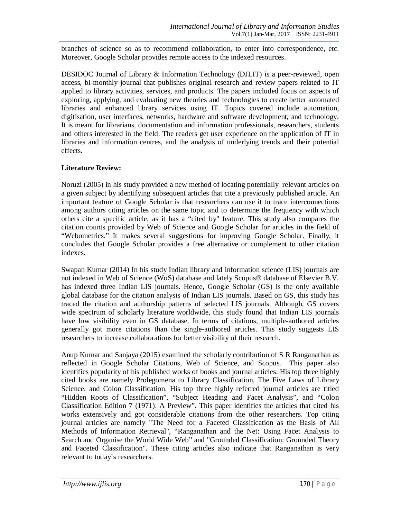branches of science so as to recommend collaboration, to enter into correspondence, etc. Moreover, Google Scholar provides remote access to the indexed resources.

DESIDOC Journal of Library & Information Technology (DJLIT) is a peer-reviewed, open access, bi-monthly journal that publishes original research and review papers related to IT applied to library activities, services, and products. The papers included focus on aspects of exploring, applying, and evaluating new theories and technologies to create better automated libraries and enhanced library services using IT. Topics covered include automation, digitisation, user interfaces, networks, hardware and software development, and technology. It is meant for librarians, documentation and information professionals, researchers, students and others interested in the field. The readers get user experience on the application of IT in libraries and information centres, and the analysis of underlying trends and their potential effects.

# **Literature Review:**

Noruzi (2005) in his study provided a new method of locating potentially relevant articles on a given subject by identifying subsequent articles that cite a previously published article. An important feature of Google Scholar is that researchers can use it to trace interconnections among authors citing articles on the same topic and to determine the frequency with which others cite a specific article, as it has a "cited by" feature. This study also compares the citation counts provided by Web of Science and Google Scholar for articles in the field of "Webometrics." It makes several suggestions for improving Google Scholar. Finally, it concludes that Google Scholar provides a free alternative or complement to other citation indexes.

Swapan Kumar (2014) In his study Indian library and information science (LIS) journals are not indexed in Web of Science (WoS) database and lately Scopus® database of Elsevier B.V. has indexed three Indian LIS journals. Hence, Google Scholar (GS) is the only available global database for the citation analysis of Indian LIS journals. Based on GS, this study has traced the citation and authorship patterns of selected LIS journals. Although, GS covers wide spectrum of scholarly literature worldwide, this study found that Indian LIS journals have low visibility even in GS database. In terms of citations, multiple-authored articles generally got more citations than the single-authored articles. This study suggests LIS researchers to increase collaborations for better visibility of their research.

Anup Kumar and Sanjaya (2015) examined the scholarly contribution of S R Ranganathan as reflected in Google Scholar Citations, Web of Science, and Scopus. This paper also identifies popularity of his published works of books and journal articles. His top three highly cited books are namely Prolegomena to Library Classification, The Five Laws of Library Science, and Colon Classification. His top three highly referred journal articles are titled "Hidden Roots of Classification", "Subject Heading and Facet Analysis", and "Colon Classification Edition 7 (1971): A Preview". This paper identifies the articles that cited his works extensively and got considerable citations from the other researchers. Top citing journal articles are namely "The Need for a Faceted Classification as the Basis of All Methods of Information Retrieval", "Ranganathan and the Net: Using Facet Analysis to Search and Organise the World Wide Web" and "Grounded Classification: Grounded Theory and Faceted Classification". These citing articles also indicate that Ranganathan is very relevant to today's researchers.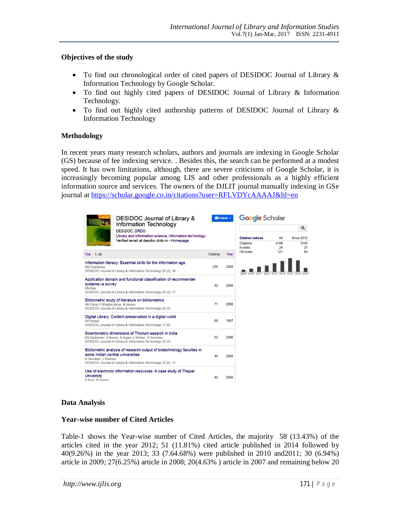## **Objectives of the study**

- To find out chronological order of cited papers of DESIDOC Journal of Library & Information Technology by Google Scholar.
- To find out highly cited papers of DESIDOC Journal of Library & Information Technology.
- To find out highly cited authorship patterns of DESIDOC Journal of Library & Information Technology

# **Methodology**

In recent years many research scholars, authors and journals are indexing in Google Scholar (GS) because of fee indexing service. . Besides this, the search can be performed at a modest speed. It has own limitations, although, there are severe criticisms of Google Scholar, it is increasingly becoming popular among LIS and other professionals as a highly efficient information source and services. The owners of the DJLIT journal manually indexing in GSe journal at https://scholar.google.co.in/citations?user=RFLVDYcAAAAJ&hl=en



# **Data Analysis**

#### **Year-wise number of Cited Articles**

Table-1 shows the Year-wise number of Cited Articles, the majority 58 (13.43%) of the articles cited in the year 2012; 51 (11.81%) cited article published in 2014 followed by 40(9.26%) in the year 2013; 33 (7.64.68%) were published in 2010 and2011; 30 (6.94%) article in 2009; 27(6.25%) article in 2008; 20(4.63% ) article in 2007 and remaining below 20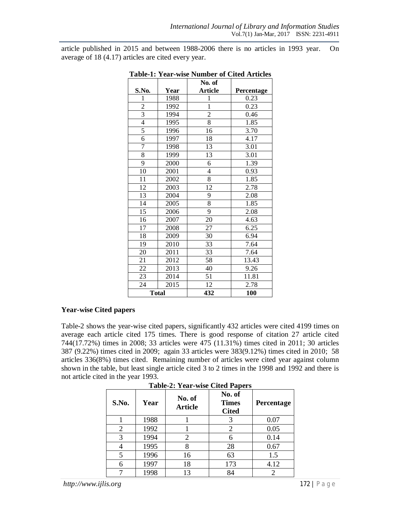article published in 2015 and between 1988-2006 there is no articles in 1993 year. On average of 18 (4.17) articles are cited every year.

|                |              | No. of                  |            |
|----------------|--------------|-------------------------|------------|
| S.No.          | Year         | <b>Article</b>          | Percentage |
| 1              | 1988         | 1                       | 0.23       |
| $\overline{2}$ | 1992         | $\mathbf{1}$            | 0.23       |
| $\overline{3}$ | 1994         | $\overline{\mathbf{c}}$ | 0.46       |
| $\overline{4}$ | 1995         | $\overline{8}$          | 1.85       |
| 5              | 1996         | 16                      | 3.70       |
| 6              | 1997         | 18                      | 4.17       |
| 7              | 1998         | 13                      | 3.01       |
| 8              | 1999         | 13                      | 3.01       |
| 9              | 2000         | 6                       | 1.39       |
| 10             | 2001         | 4                       | 0.93       |
| 11             | 2002         | $\overline{8}$          | 1.85       |
| 12             | 2003         | 12                      | 2.78       |
| 13             | 2004         | 9                       | 2.08       |
| 14             | 2005         | $\overline{8}$          | 1.85       |
| 15             | 2006         | $\overline{9}$          | 2.08       |
| 16             | 2007         | 20                      | 4.63       |
| 17             | 2008         | 27                      | 6.25       |
| 18             | 2009         | 30                      | 6.94       |
| 19             | 2010         | 33                      | 7.64       |
| 20             | 2011         | 33                      | 7.64       |
| 21             | 2012         | 58                      | 13.43      |
| 22             | 2013         | 40                      | 9.26       |
| 23             | 2014         | 51                      | 11.81      |
| 24             | 2015         | 12                      | 2.78       |
|                | <b>Total</b> | 432                     | 100        |

**Table-1: Year-wise Number of Cited Articles**

## **Year-wise Cited papers**

Table-2 shows the year-wise cited papers, significantly 432 articles were cited 4199 times on average each article cited 175 times. There is good response of citation 27 article cited 744(17.72%) times in 2008; 33 articles were 475 (11.31%) times cited in 2011; 30 articles 387 (9.22%) times cited in 2009; again 33 articles were 383(9.12%) times cited in 2010; 58 articles 336(8%) times cited. Remaining number of articles were cited year against column shown in the table, but least single article cited 3 to 2 times in the 1998 and 1992 and there is not article cited in the year 1993.

| S.No. | Year | No. of<br><b>Article</b> | No. of<br><b>Times</b><br><b>Cited</b> | Percentage                  |
|-------|------|--------------------------|----------------------------------------|-----------------------------|
|       | 1988 |                          |                                        | 0.07                        |
| 2     | 1992 |                          |                                        | 0.05                        |
| 3     | 1994 | 2                        |                                        | 0.14                        |
|       | 1995 | 8                        | 28                                     | 0.67                        |
|       | 1996 | 16                       | 63                                     | 1.5                         |
| 6     | 1997 | 18                       | 173                                    | 4.12                        |
|       | 1998 | 13                       | 84                                     | $\mathcal{D}_{\mathcal{A}}$ |

**Table-2: Year-wise Cited Papers**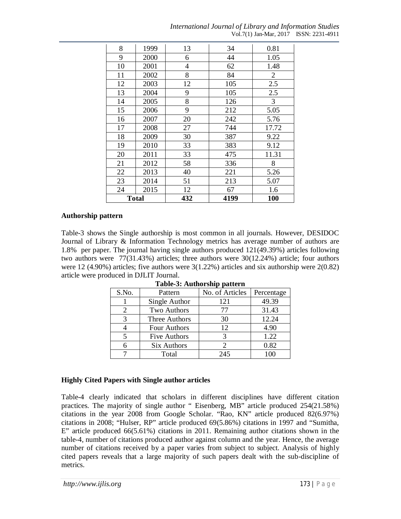*International Journal of Library and Information Studies* Vol.7(1) Jan-Mar, 2017 ISSN: 2231-4911

| 8            | 1999 | 13  | 34   | 0.81           |
|--------------|------|-----|------|----------------|
| 9            | 2000 | 6   | 44   | 1.05           |
| 10           | 2001 | 4   | 62   | 1.48           |
| 11           | 2002 | 8   | 84   | $\overline{2}$ |
| 12           | 2003 | 12  | 105  | 2.5            |
| 13           | 2004 | 9   | 105  | 2.5            |
| 14           | 2005 | 8   | 126  | 3              |
| 15           | 2006 | 9   | 212  | 5.05           |
| 16           | 2007 | 20  | 242  | 5.76           |
| 17           | 2008 | 27  | 744  | 17.72          |
| 18           | 2009 | 30  | 387  | 9.22           |
| 19           | 2010 | 33  | 383  | 9.12           |
| 20           | 2011 | 33  | 475  | 11.31          |
| 21           | 2012 | 58  | 336  | 8              |
| 22           | 2013 | 40  | 221  | 5.26           |
| 23           | 2014 | 51  | 213  | 5.07           |
| 24           | 2015 | 12  | 67   | 1.6            |
| <b>Total</b> |      | 432 | 4199 | 100            |

#### **Authorship pattern**

Table-3 shows the Single authorship is most common in all journals. However, DESIDOC Journal of Library & Information Technology metrics has average number of authors are 1.8% per paper. The journal having single authors produced 121(49.39%) articles following two authors were 77(31.43%) articles; three authors were 30(12.24%) article; four authors were 12 (4.90%) articles; five authors were 3(1.22%) articles and six authorship were 2(0.82) article were produced in DJLIT Journal.

| S.No. | Pattern            | No. of Articles | Percentage |
|-------|--------------------|-----------------|------------|
|       | Single Author      | 121             | 49.39      |
| 2     | Two Authors        | 77              | 31.43      |
| 3     | Three Authors      | 30              | 12.24      |
|       | Four Authors       | 12              | 4.90       |
| 5     | Five Authors       | 3               | 1.22       |
| 6     | <b>Six Authors</b> |                 | 0.82       |
|       | Total              | 245             | 100        |

#### **Table-3: Authorship pattern**

# **Highly Cited Papers with Single author articles**

Table-4 clearly indicated that scholars in different disciplines have different citation practices. The majority of single author " Eisenberg, MB" article produced 254(21.58%) citations in the year 2008 from Google Scholar. "Rao, KN" article produced 82(6.97%) citations in 2008; "Hulser, RP" article produced 69(5.86%) citations in 1997 and "Sumitha, E" article produced 66(5.61%) citations in 2011. Remaining author citations shown in the table-4, number of citations produced author against column and the year. Hence, the average number of citations received by a paper varies from subject to subject. Analysis of highly cited papers reveals that a large majority of such papers dealt with the sub-discipline of metrics.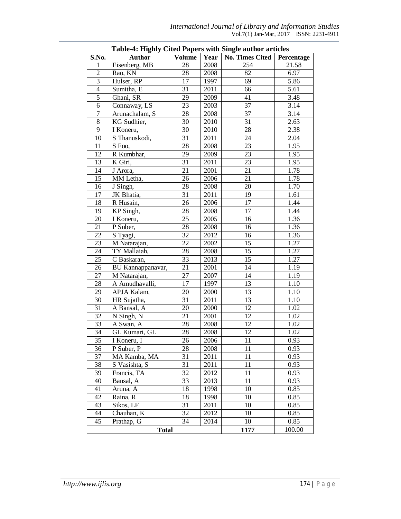|                         | Table-4: Highly Clied Papers with Single author articles |                 |      |                 |            |
|-------------------------|----------------------------------------------------------|-----------------|------|-----------------|------------|
| S.No.                   | <b>Author</b>                                            | <b>Volume</b>   | Year | No. Times Cited | Percentage |
| 1                       | Eisenberg, MB                                            | 28              | 2008 | 254             | 21.58      |
| $\overline{2}$          | Rao, KN                                                  | 28              | 2008 | 82              | 6.97       |
| $\overline{\mathbf{3}}$ | Hulser, RP                                               | 17              | 1997 | 69              | 5.86       |
| $\overline{4}$          | Sumitha, E                                               | 31              | 2011 | 66              | 5.61       |
| $\overline{5}$          | Ghani, SR                                                | 29              | 2009 | 41              | 3.48       |
| 6                       | Connaway, LS                                             | 23              | 2003 | 37              | 3.14       |
| $\overline{7}$          | Arunachalam, S                                           | 28              | 2008 | 37              | 3.14       |
| $8\,$                   | KG Sudhier,                                              | 30              | 2010 | 31              | 2.63       |
| 9                       | I Koneru,                                                | 30              | 2010 | 28              | 2.38       |
| 10                      | S Thanuskodi,                                            | 31              | 2011 | 24              | 2.04       |
| 11                      | S Foo,                                                   | 28              | 2008 | 23              | 1.95       |
| 12                      | R Kumbhar,                                               | 29              | 2009 | 23              | 1.95       |
| $\overline{13}$         | K Giri,                                                  | $\overline{31}$ | 2011 | 23              | 1.95       |
| 14                      | J Arora,                                                 | 21              | 2001 | 21              | 1.78       |
| 15                      | MM Letha,                                                | 26              | 2006 | 21              | 1.78       |
| 16                      | J Singh,                                                 | 28              | 2008 | 20              | 1.70       |
| 17                      | JK Bhatia,                                               | 31              | 2011 | 19              | 1.61       |
| 18                      | R Husain,                                                | 26              | 2006 | 17              | 1.44       |
| 19                      | KP Singh,                                                | 28              | 2008 | 17              | 1.44       |
| 20                      | I Koneru,                                                | 25              | 2005 | 16              | 1.36       |
| 21                      | P Suber,                                                 | 28              | 2008 | 16              | 1.36       |
| 22                      | S Tyagi,                                                 | 32              | 2012 | 16              | 1.36       |
| 23                      | M Natarajan,                                             | 22              | 2002 | 15              | 1.27       |
| 24                      | TY Mallaiah,                                             | 28              | 2008 | 15              | 1.27       |
| 25                      | C Baskaran,                                              | 33              | 2013 | 15              | 1.27       |
| 26                      | BU Kannappanavar,                                        | 21              | 2001 | 14              | 1.19       |
| 27                      | M Natarajan,                                             | $\overline{27}$ | 2007 | 14              | 1.19       |
| 28                      | A Amudhavalli,                                           | 17              | 1997 | 13              | 1.10       |
| 29                      | APJA Kalam,                                              | 20              | 2000 | 13              | 1.10       |
| 30                      | HR Sujatha,                                              | $\overline{31}$ | 2011 | 13              | 1.10       |
| 31                      | A Bansal, A                                              | 20              | 2000 | 12              | 1.02       |
| 32                      | N Singh, N                                               | 21              | 2001 | 12              | 1.02       |
| 33                      | A Swan, A                                                | 28              | 2008 | 12              | 1.02       |
| 34                      | GL Kumari, GL                                            | 28              | 2008 | 12              | 1.02       |
| 35                      | I Koneru, I                                              | 26              | 2006 | 11              | 0.93       |
| 36                      | P Suber, P                                               | 28              | 2008 | 11              | 0.93       |
| $\overline{37}$         | MA Kamba, MA                                             | 31              | 2011 | 11              | 0.93       |
| 38                      | S Vasishta, S                                            | 31              | 2011 | 11              | 0.93       |
| 39                      | Francis, TA                                              | 32              | 2012 | 11              | 0.93       |
| 40                      | Bansal, A                                                | 33              | 2013 | 11              | 0.93       |
| 41                      | Aruna, A                                                 | 18              | 1998 | 10              | 0.85       |
| 42                      | Raina, R                                                 | 18              | 1998 | 10              | 0.85       |
| 43                      | Sikos, LF                                                | 31              | 2011 | 10              | 0.85       |
| 44                      | Chauhan, K                                               | 32              | 2012 | 10              | 0.85       |
| 45                      | Prathap, G                                               | 34              | 2014 | 10              | 0.85       |
|                         | <b>Total</b>                                             |                 |      | 1177            | 100.00     |
|                         |                                                          |                 |      |                 |            |

| <b>Table-4: Highly Cited Papers with Single author articles</b> |  |  |  |
|-----------------------------------------------------------------|--|--|--|
|-----------------------------------------------------------------|--|--|--|